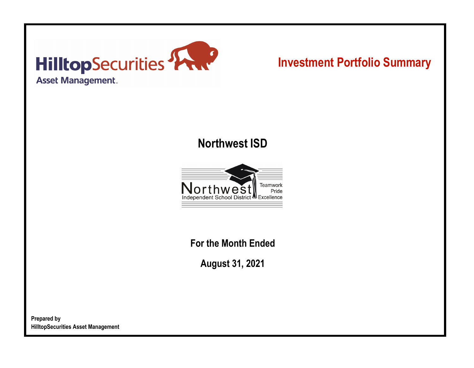

# **Investment Portfolio Summary**

## **Northwest ISD**



**For the Month Ended**

**August 31, 2021**

**Prepared by HilltopSecurities Asset Management**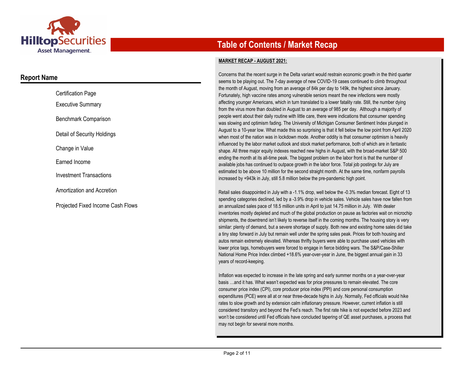

### **Report Name**

| <b>Certification Page</b>                |
|------------------------------------------|
| <b>Executive Summary</b>                 |
| Benchmark Comparison                     |
| Detail of Security Holdings              |
| Change in Value                          |
| Earned Income                            |
| Investment Transactions                  |
| Amortization and Accretion               |
| <b>Projected Fixed Income Cash Flows</b> |

## **Table of Contents / Market Recap**

#### **MARKET RECAP - AUGUST 2021:**

Concerns that the recent surge in the Delta variant would restrain economic growth in the third quarter seems to be playing out. The 7-day average of new COVID-19 cases continued to climb throughout the month of August, moving from an average of 84k per day to 149k, the highest since January. Fortunately, high vaccine rates among vulnerable seniors meant the new infections were mostly affecting younger Americans, which in turn translated to a lower fatality rate. Still, the number dying from the virus more than doubled in August to an average of 985 per day. Although a majority of people went about their daily routine with little care, there were indications that consumer spending was slowing and optimism fading. The University of Michigan Consumer Sentiment Index plunged in August to a 10-year low. What made this so surprising is that it fell below the low point from April 2020 when most of the nation was in lockdown mode. Another oddity is that consumer optimism is heavily influenced by the labor market outlook and stock market performance, both of which are in fantastic shape. All three major equity indexes reached new highs in August, with the broad-market S&P 500 ending the month at its all-time peak. The biggest problem on the labor front is that the number of available jobs has continued to outpace growth in the labor force. Total job postings for July are estimated to be above 10 million for the second straight month. At the same time, nonfarm payrolls increased by +943k in July, still 5.8 million below the pre-pandemic high point.

Retail sales disappointed in July with a -1.1% drop, well below the -0.3% median forecast. Eight of 13 spending categories declined, led by a -3.9% drop in vehicle sales. Vehicle sales have now fallen from an annualized sales pace of 18.5 million units in April to just 14.75 million in July. With dealer inventories mostly depleted and much of the global production on pause as factories wait on microchip shipments, the downtrend isn't likely to reverse itself in the coming months. The housing story is very similar: plenty of demand, but a severe shortage of supply. Both new and existing home sales did take a tiny step forward in July but remain well under the spring sales peak. Prices for both housing and autos remain extremely elevated. Whereas thrifty buyers were able to purchase used vehicles with lower price tags, homebuyers were forced to engage in fierce bidding wars. The S&P/Case-Shiller National Home Price Index climbed +18.6% year-over-year in June, the biggest annual gain in 33 years of record-keeping.

Inflation was expected to increase in the late spring and early summer months on a year-over-year basis …and it has. What wasn't expected was for price pressures to remain elevated. The core consumer price index (CPI), core producer price index (PPI) and core personal consumption expenditures (PCE) were all at or near three-decade highs in July. Normally, Fed officials would hike rates to slow growth and by extension calm inflationary pressure. However, current inflation is still considered transitory and beyond the Fed's reach. The first rate hike is not expected before 2023 and won't be considered until Fed officials have concluded tapering of QE asset purchases, a process that may not begin for several more months.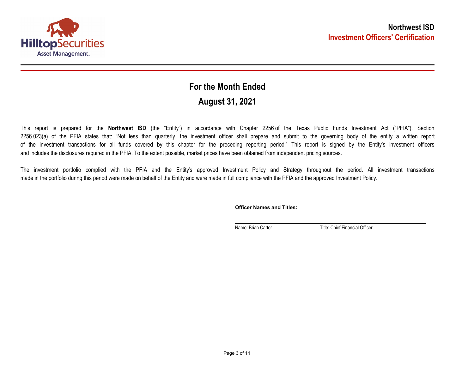

## **August 31, 2021 For the Month Ended**

This report is prepared for the **Northwest ISD** (the "Entity") in accordance with Chapter 2256 of the Texas Public Funds Investment Act ("PFIA"). Section 2256.023(a) of the PFIA states that: "Not less than quarterly, the investment officer shall prepare and submit to the governing body of the entity a written report of the investment transactions for all funds covered by this chapter for the preceding reporting period." This report is signed by the Entity's investment officers and includes the disclosures required in the PFIA. To the extent possible, market prices have been obtained from independent pricing sources.

The investment portfolio complied with the PFIA and the Entity's approved Investment Policy and Strategy throughout the period. All investment transactions made in the portfolio during this period were made on behalf of the Entity and were made in full compliance with the PFIA and the approved Investment Policy.

**Officer Names and Titles:**

Name: Brian Carter Title: Chief Financial Officer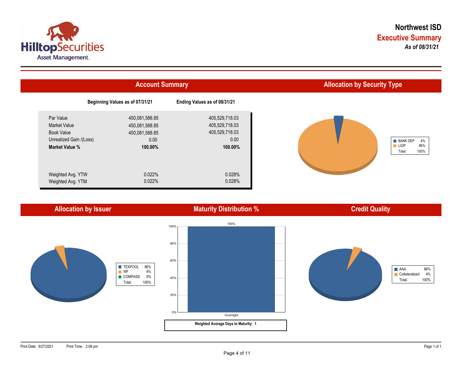



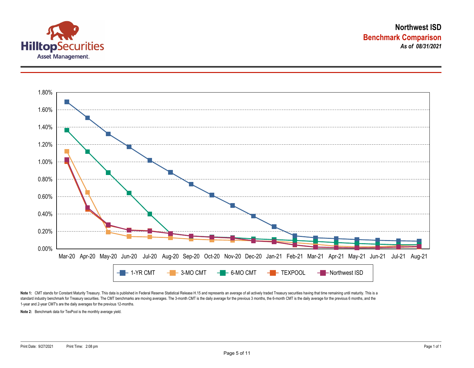



Note 1: CMT stands for Constant Maturity Treasury. This data is published in Federal Reserve Statistical Release H.15 and represents an average of all actively traded Treasury securities having that time remaining until ma standard industry benchmark for Treasury securities. The CMT benchmarks are moving averages. The 3-month CMT is the daily average for the previous 3 months, the 6-month CMT is the daily average for the previous 6 months, a 1-year and 2-year CMT's are the daily averages for the previous 12-months.

**Note 2:** Benchmark data for TexPool is the monthly average yield.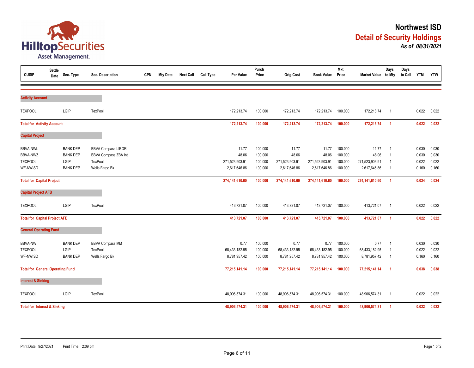

| <b>CUSIP</b>                            | Settle<br>Date | Sec. Type       | Sec. Description          | <b>CPN</b> | <b>Mty Date</b> | <b>Next Call</b> | <b>Call Type</b> | Par Value      | Purch<br>Price | <b>Orig Cost</b> | <b>Book Value</b> | Mkt<br>Price | Market Value to Mty | Days                    | Days<br>to Call | <b>YTM</b> | <b>YTW</b> |
|-----------------------------------------|----------------|-----------------|---------------------------|------------|-----------------|------------------|------------------|----------------|----------------|------------------|-------------------|--------------|---------------------|-------------------------|-----------------|------------|------------|
|                                         |                |                 |                           |            |                 |                  |                  |                |                |                  |                   |              |                     |                         |                 |            |            |
| <b>Activity Account</b>                 |                |                 |                           |            |                 |                  |                  |                |                |                  |                   |              |                     |                         |                 |            |            |
| <b>TEXPOOL</b>                          |                | LGIP            | <b>TexPool</b>            |            |                 |                  |                  | 172,213.74     | 100.000        | 172,213.74       | 172,213.74        | 100.000      | 172,213.74          | $\overline{1}$          |                 | 0.022      | 0.022      |
| <b>Total for Activity Account</b>       |                |                 |                           |            |                 |                  |                  | 172,213.74     | 100.000        | 172,213.74       | 172,213.74        | 100.000      | 172,213.74          | $\overline{1}$          |                 | 0.022      | 0.022      |
| <b>Capital Project</b>                  |                |                 |                           |            |                 |                  |                  |                |                |                  |                   |              |                     |                         |                 |            |            |
| <b>BBVA-NWL</b>                         |                | <b>BANK DEP</b> | <b>BBVA Compass LIBOR</b> |            |                 |                  |                  | 11.77          | 100.000        | 11.77            | 11.77             | 100.000      | 11.77               | $\overline{1}$          |                 | 0.030      | 0.030      |
| <b>BBVA-NWZ</b>                         |                | <b>BANK DEP</b> | BBVA Compass ZBA Int      |            |                 |                  |                  | 48.06          | 100.000        | 48.06            | 48.06             | 100.000      | 48.06               | $\overline{1}$          |                 | 0.030      | 0.030      |
| <b>TEXPOOL</b>                          |                | LGIP            | TexPool                   |            |                 |                  |                  | 271,523,903.91 | 100.000        | 271,523,903.91   | 271,523,903.91    | 100.000      | 271,523,903.91      | $\overline{1}$          |                 | 0.022      | 0.022      |
| WF-NWISD                                |                | <b>BANK DEP</b> | Wells Fargo Bk            |            |                 |                  |                  | 2,617,646.86   | 100.000        | 2,617,646.86     | 2,617,646.86      | 100.000      | 2,617,646.86        | $\overline{1}$          |                 | 0.160      | 0.160      |
| <b>Total for Capital Project</b>        |                |                 |                           |            |                 |                  |                  | 274,141,610.60 | 100.000        | 274,141,610.60   | 274,141,610.60    | 100.000      | 274,141,610.60      | $\overline{1}$          |                 | 0.024      | 0.024      |
| <b>Capital Project AFB</b>              |                |                 |                           |            |                 |                  |                  |                |                |                  |                   |              |                     |                         |                 |            |            |
| <b>TEXPOOL</b>                          |                | LGIP            | <b>TexPool</b>            |            |                 |                  |                  | 413,721.07     | 100.000        | 413,721.07       | 413,721.07        | 100.000      | 413,721.07          | $\overline{1}$          |                 | 0.022      | 0.022      |
| <b>Total for Capital Project AFB</b>    |                |                 |                           |            |                 |                  |                  | 413,721.07     | 100.000        | 413,721.07       | 413,721.07        | 100.000      | 413,721.07          | $\overline{1}$          |                 | 0.022      | 0.022      |
| <b>General Operating Fund</b>           |                |                 |                           |            |                 |                  |                  |                |                |                  |                   |              |                     |                         |                 |            |            |
| <b>BBVA-NW</b>                          |                | <b>BANK DEP</b> | <b>BBVA Compass MM</b>    |            |                 |                  |                  | 0.77           | 100.000        | 0.77             | 0.77              | 100.000      | 0.77                | $\overline{1}$          |                 | 0.030      | 0.030      |
| <b>TEXPOOL</b>                          |                | LGIP            | TexPool                   |            |                 |                  |                  | 68,433,182.95  | 100.000        | 68,433,182.95    | 68,433,182.95     | 100.000      | 68,433,182.95       | $\overline{\mathbf{1}}$ |                 | 0.022      | 0.022      |
| WF-NWISD                                |                | <b>BANK DEP</b> | Wells Fargo Bk            |            |                 |                  |                  | 8,781,957.42   | 100.000        | 8,781,957.42     | 8,781,957.42      | 100.000      | 8,781,957.42        | $\overline{1}$          |                 | 0.160      | 0.160      |
| <b>Total for General Operating Fund</b> |                |                 |                           |            |                 |                  |                  | 77,215,141.14  | 100.000        | 77,215,141.14    | 77,215,141.14     | 100.000      | 77,215,141.14       | $\overline{1}$          |                 | 0.038      | 0.038      |
| <b>Interest &amp; Sinking</b>           |                |                 |                           |            |                 |                  |                  |                |                |                  |                   |              |                     |                         |                 |            |            |
| <b>TEXPOOL</b>                          |                | LGIP            | TexPool                   |            |                 |                  |                  | 48,906,574.31  | 100.000        | 48,906,574.31    | 48,906,574.31     | 100.000      | 48,906,574.31       | $\overline{1}$          |                 | 0.022      | 0.022      |
| <b>Total for Interest &amp; Sinking</b> |                |                 |                           |            | 48,906,574.31   | 100.000          | 48,906,574.31    | 48,906,574.31  | 100.000        | 48,906,574.31    | $\overline{1}$    |              | 0.022               | 0.022                   |                 |            |            |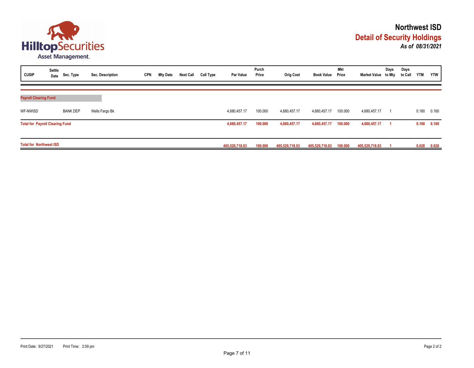

| <b>CUSIP</b>                           | Settle | Date Sec. Type  | Sec. Description | <b>CPN</b> | <b>Mty Date</b> | <b>Next Call</b> | Call Type      | <b>Par Value</b> | Purch<br>Price | <b>Orig Cost</b> | <b>Book Value</b> | <b>Mkt</b><br>Price | Market Value to Mty | Days  | Days<br>to Call | <b>YTM</b> | <b>YTW</b> |
|----------------------------------------|--------|-----------------|------------------|------------|-----------------|------------------|----------------|------------------|----------------|------------------|-------------------|---------------------|---------------------|-------|-----------------|------------|------------|
| <b>Payroll Clearing Fund</b>           |        |                 |                  |            |                 |                  |                |                  |                |                  |                   |                     |                     |       |                 |            |            |
| WF-NWISD                               |        | <b>BANK DEP</b> | Wells Fargo Bk   |            |                 |                  |                | 4,680,457.17     | 100.000        | 4,680,457.17     | 4,680,457.17      | 100.000             | 4,680,457.17        |       |                 | 0.160      | 0.160      |
| <b>Total for Payroll Clearing Fund</b> |        |                 |                  |            | 4,680,457.17    | 100.000          | 4,680,457.17   | 4,680,457.17     | 100.000        | 4,680,457.17     |                   |                     | 0.160               | 0.160 |                 |            |            |
| <b>Total for Northwest ISD</b>         |        |                 |                  |            | 405.529.718.03  | 100.000          | 405.529.718.03 | 405,529,718.03   | 100.000        | 405,529,718.03   |                   |                     | 0.028               | 0.028 |                 |            |            |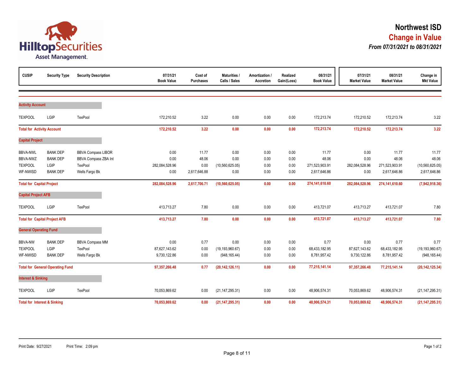

| <b>CUSIP</b>                                              | <b>Security Type</b>                                          | <b>Security Description</b>                                                           | 07/31/21<br><b>Book Value</b>          | Cost of<br><b>Purchases</b>            | Maturities /<br>Calls / Sales              | Amortization /<br><b>Accretion</b> | <b>Realized</b><br>Gain/(Loss) | 08/31/21<br><b>Book Value</b>                    | 07/31/21<br><b>Market Value</b>        | 08/31/21<br><b>Market Value</b>                  | Change in<br><b>Mkt Value</b>                       |
|-----------------------------------------------------------|---------------------------------------------------------------|---------------------------------------------------------------------------------------|----------------------------------------|----------------------------------------|--------------------------------------------|------------------------------------|--------------------------------|--------------------------------------------------|----------------------------------------|--------------------------------------------------|-----------------------------------------------------|
| <b>Activity Account</b>                                   |                                                               |                                                                                       |                                        |                                        |                                            |                                    |                                |                                                  |                                        |                                                  |                                                     |
| <b>TEXPOOL</b>                                            | LGIP                                                          | TexPool                                                                               | 172,210.52                             | 3.22                                   | 0.00                                       | 0.00                               | 0.00                           | 172,213.74                                       | 172,210.52                             | 172,213.74                                       | 3.22                                                |
| <b>Total for Activity Account</b>                         |                                                               |                                                                                       | 172,210.52                             | 3.22                                   | 0.00                                       | 0.00                               | 0.00                           | 172,213.74                                       | 172,210.52                             | 172,213.74                                       | 3.22                                                |
| <b>Capital Project</b>                                    |                                                               |                                                                                       |                                        |                                        |                                            |                                    |                                |                                                  |                                        |                                                  |                                                     |
| <b>BBVA-NWL</b><br>BBVA-NWZ<br><b>TEXPOOL</b><br>WF-NWISD | <b>BANK DEP</b><br><b>BANK DEP</b><br>LGIP<br><b>BANK DEP</b> | <b>BBVA Compass LIBOR</b><br><b>BBVA Compass ZBA Int</b><br>TexPool<br>Wells Fargo Bk | 0.00<br>0.00<br>282,084,528.96<br>0.00 | 11.77<br>48.06<br>0.00<br>2,617,646.88 | 0.00<br>0.00<br>(10, 560, 625.05)<br>0.00  | 0.00<br>0.00<br>0.00<br>0.00       | 0.00<br>0.00<br>0.00<br>0.00   | 11.77<br>48.06<br>271,523,903.91<br>2,617,646.86 | 0.00<br>0.00<br>282,084,528.96<br>0.00 | 11.77<br>48.06<br>271,523,903.91<br>2,617,646.86 | 11.77<br>48.06<br>(10, 560, 625.05)<br>2,617,646.86 |
| <b>Total for Capital Project</b>                          |                                                               |                                                                                       | 282,084,528.96                         | 2,617,706.71                           | (10, 560, 625.05)                          | 0.00                               | 0.00                           | 274,141,610.60                                   | 282,084,528.96                         | 274,141,610.60                                   | (7,942,918.36)                                      |
| <b>Capital Project AFB</b>                                |                                                               |                                                                                       |                                        |                                        |                                            |                                    |                                |                                                  |                                        |                                                  |                                                     |
| <b>TEXPOOL</b>                                            | LGIP                                                          | TexPool                                                                               | 413,713.27                             | 7.80                                   | 0.00                                       | 0.00                               | 0.00                           | 413,721.07                                       | 413,713.27                             | 413,721.07                                       | 7.80                                                |
|                                                           | <b>Total for Capital Project AFB</b>                          |                                                                                       | 413,713.27                             | 7.80                                   | 0.00                                       | 0.00                               | 0.00                           | 413,721.07                                       | 413,713.27                             | 413,721.07                                       | 7.80                                                |
| <b>General Operating Fund</b>                             |                                                               |                                                                                       |                                        |                                        |                                            |                                    |                                |                                                  |                                        |                                                  |                                                     |
| <b>BBVA-NW</b><br><b>TEXPOOL</b><br>WF-NWISD              | <b>BANK DEP</b><br>LGIP<br><b>BANK DEP</b>                    | <b>BBVA Compass MM</b><br>TexPool<br>Wells Fargo Bk                                   | 0.00<br>87,627,143.62<br>9,730,122.86  | 0.77<br>0.00<br>0.00                   | 0.00<br>(19, 193, 960.67)<br>(948, 165.44) | 0.00<br>0.00<br>0.00               | 0.00<br>0.00<br>0.00           | 0.77<br>68,433,182.95<br>8,781,957.42            | 0.00<br>87,627,143.62<br>9,730,122.86  | 0.77<br>68,433,182.95<br>8,781,957.42            | 0.77<br>(19, 193, 960.67)<br>(948, 165.44)          |
|                                                           | <b>Total for General Operating Fund</b>                       |                                                                                       | 97,357,266.48                          | 0.77                                   | (20, 142, 126.11)                          | 0.00                               | 0.00                           | 77,215,141.14                                    | 97,357,266.48                          | 77,215,141.14                                    | (20, 142, 125.34)                                   |
| <b>Interest &amp; Sinking</b>                             |                                                               |                                                                                       |                                        |                                        |                                            |                                    |                                |                                                  |                                        |                                                  |                                                     |
| <b>TEXPOOL</b>                                            | LGIP                                                          | TexPool                                                                               | 70,053,869.62                          | 0.00                                   | (21, 147, 295.31)                          | 0.00                               | 0.00                           | 48,906,574.31                                    | 70,053,869.62                          | 48,906,574.31                                    | (21, 147, 295.31)                                   |
| <b>Total for Interest &amp; Sinking</b>                   |                                                               |                                                                                       | 70,053,869.62                          | 0.00                                   | (21, 147, 295.31)                          | 0.00                               | 0.00                           | 48,906,574.31                                    | 70,053,869.62                          | 48,906,574.31                                    | (21, 147, 295.31)                                   |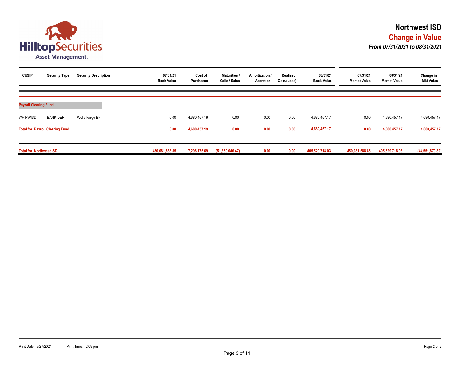

| <b>CUSIP</b>                   | <b>Security Type</b>                   | <b>Security Description</b> | 07/31/21<br><b>Book Value</b> | Cost of<br><b>Purchases</b> | Maturities /<br>Calls / Sales | Amortization /<br>Accretion | Realized<br>Gain/(Loss) | 08/31/21<br><b>Book Value</b> | 07/31/21<br><b>Market Value</b> | 08/31/21<br><b>Market Value</b> | Change in<br><b>Mkt Value</b> |
|--------------------------------|----------------------------------------|-----------------------------|-------------------------------|-----------------------------|-------------------------------|-----------------------------|-------------------------|-------------------------------|---------------------------------|---------------------------------|-------------------------------|
| <b>Payroll Clearing Fund</b>   |                                        |                             |                               |                             |                               |                             |                         |                               |                                 |                                 |                               |
| WF-NWISD                       | <b>BANK DEP</b>                        | Wells Fargo Bk              | 0.00                          | 4,680,457.19                | 0.00                          | 0.00                        | 0.00                    | 4,680,457.17                  | 0.00                            | 4,680,457.17                    | 4,680,457.17                  |
|                                | <b>Total for Payroll Clearing Fund</b> |                             | 0.00                          | 4,680,457.19                | 0.00                          | 0.00                        | 0.00                    | 4,680,457.17                  | 0.00                            | 4,680,457.17                    | 4,680,457.17                  |
| <b>Total for Northwest ISD</b> |                                        |                             | 450.081.588.85                | 7,298,175.69                | (51,850,046.47)               | 0.00                        | 0.00                    | 405,529,718.03                | 450,081,588.85                  | 405,529,718.03                  | (44, 551, 870.82)             |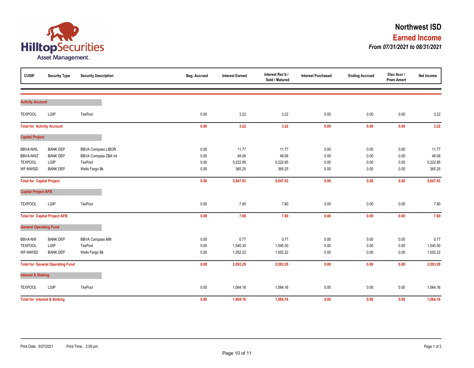

| <b>CUSIP</b>                     | <b>Security Type</b>                    | <b>Security Description</b> | Beg. Accrued | <b>Interest Earned</b> | Interest Rec'd /<br>Sold / Matured | <b>Interest Purchased</b> | <b>Ending Accrued</b> | Disc Accr /<br><b>Prem Amort</b> | Net Income |
|----------------------------------|-----------------------------------------|-----------------------------|--------------|------------------------|------------------------------------|---------------------------|-----------------------|----------------------------------|------------|
|                                  |                                         |                             |              |                        |                                    |                           |                       |                                  |            |
| <b>Activity Account</b>          |                                         |                             |              |                        |                                    |                           |                       |                                  |            |
| <b>TEXPOOL</b>                   | LGIP                                    | TexPool                     | 0.00         | 3.22                   | 3.22                               | 0.00                      | 0.00                  | 0.00                             | 3.22       |
|                                  | <b>Total for Activity Account</b>       |                             | 0.00         | 3.22                   | 3.22                               | 0.00                      | $0.00\,$              | 0.00                             | 3.22       |
| <b>Capital Project</b>           |                                         |                             |              |                        |                                    |                           |                       |                                  |            |
| <b>BBVA-NWL</b>                  | <b>BANK DEP</b>                         | <b>BBVA Compass LIBOR</b>   | 0.00         | 11.77                  | 11.77                              | 0.00                      | 0.00                  | 0.00                             | 11.77      |
| BBVA-NWZ                         | <b>BANK DEP</b>                         | BBVA Compass ZBA Int        | 0.00         | 48.06                  | 48.06                              | 0.00                      | 0.00                  | 0.00                             | 48.06      |
| <b>TEXPOOL</b>                   | LGIP                                    | TexPool                     | 0.00         | 5,222.85               | 5,222.85                           | 0.00                      | 0.00                  | 0.00                             | 5,222.85   |
| WF-NWISD                         | <b>BANK DEP</b>                         | Wells Fargo Bk              | 0.00         | 365.25                 | 365.25                             | 0.00                      | 0.00                  | 0.00                             | 365.25     |
| <b>Total for Capital Project</b> |                                         |                             | 0.00         | 5,647.93               | 5,647.93                           | 0.00                      | 0.00                  | 0.00                             | 5,647.93   |
| <b>Capital Project AFB</b>       |                                         |                             |              |                        |                                    |                           |                       |                                  |            |
| <b>TEXPOOL</b>                   | LGIP                                    | TexPool                     | 0.00         | 7.80                   | 7.80                               | 0.00                      | 0.00                  | 0.00                             | 7.80       |
|                                  | <b>Total for Capital Project AFB</b>    |                             | 0.00         | 7.80                   | 7.80                               | 0.00                      | $0.00\,$              | 0.00                             | 7.80       |
| <b>General Operating Fund</b>    |                                         |                             |              |                        |                                    |                           |                       |                                  |            |
| <b>BBVA-NW</b>                   | <b>BANK DEP</b>                         | <b>BBVA Compass MM</b>      | 0.00         | 0.77                   | 0.77                               | 0.00                      | 0.00                  | 0.00                             | 0.77       |
| <b>TEXPOOL</b>                   | LGIP                                    | TexPool                     | 0.00         | 1,540.30               | 1,540.30                           | 0.00                      | 0.00                  | 0.00                             | 1,540.30   |
| WF-NWISD                         | <b>BANK DEP</b>                         | Wells Fargo Bk              | 0.00         | 1,052.22               | 1,052.22                           | 0.00                      | 0.00                  | 0.00                             | 1,052.22   |
|                                  | <b>Total for General Operating Fund</b> |                             | 0.00         | 2,593.29               | 2,593.29                           | 0.00                      | 0.00                  | 0.00                             | 2,593.29   |
| <b>Interest &amp; Sinking</b>    |                                         |                             |              |                        |                                    |                           |                       |                                  |            |
| <b>TEXPOOL</b>                   | LGIP                                    | TexPool                     | 0.00         | 1,064.16               | 1,064.16                           | 0.00                      | 0.00                  | 0.00                             | 1,064.16   |
|                                  | <b>Total for Interest &amp; Sinking</b> |                             | 0.00         | 1,064.16               | 1,064.16                           | 0.00                      | 0.00                  | 0.00                             | 1,064.16   |